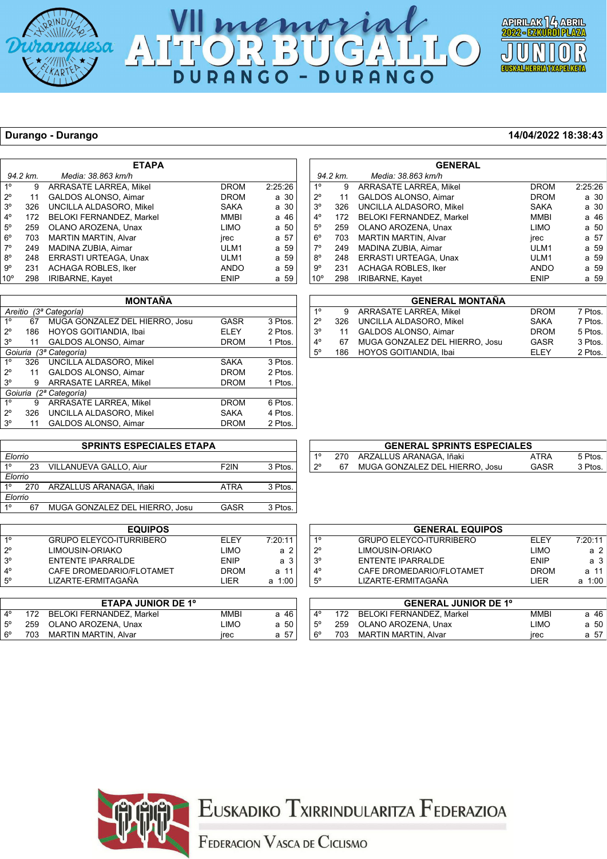





### **Durango - Durango 14/04/2022 18:38:43**

*Elorrio*

|                 | <b>ETAPA</b> |                                 |             |         |  |  |
|-----------------|--------------|---------------------------------|-------------|---------|--|--|
|                 | 94.2 km.     | Media: 38.863 km/h              |             |         |  |  |
| 1 <sup>0</sup>  | 9            | <b>ARRASATE LARREA, Mikel</b>   | <b>DROM</b> | 2:25:26 |  |  |
| $2^{\circ}$     | 11           | <b>GALDOS ALONSO, Aimar</b>     | <b>DROM</b> | a 30    |  |  |
| $3^{\circ}$     | 326          | UNCILLA ALDASORO, Mikel         | <b>SAKA</b> | a 30    |  |  |
| $4^{\circ}$     | 172          | <b>BELOKI FERNANDEZ. Markel</b> | MMBI        | a 46    |  |  |
| $5^\circ$       | 259          | OLANO AROZENA, Unax             | <b>LIMO</b> | a 50    |  |  |
| $6^{\circ}$     | 703          | <b>MARTIN MARTIN, Alvar</b>     | jrec        | a 57    |  |  |
| $7^\circ$       | 249          | MADINA ZUBIA, Aimar             | ULM1        | a 59    |  |  |
| $8^{\circ}$     | 248          | ERRASTI URTEAGA, Unax           | ULM1        | a 59    |  |  |
| 9°              | 231          | <b>ACHAGA ROBLES, Iker</b>      | <b>ANDO</b> | a 59    |  |  |
| 10 <sup>o</sup> | 298          | <b>IRIBARNE, Kayet</b>          | <b>ENIP</b> | a 59    |  |  |

| <b>MONTAÑA</b>            |                           |                                                   |             |         |  |  |  |  |
|---------------------------|---------------------------|---------------------------------------------------|-------------|---------|--|--|--|--|
| Areitio (3ª Categoría)    |                           |                                                   |             |         |  |  |  |  |
| 1 <sup>0</sup>            | 67                        | MUGA GONZALEZ DEL HIERRO, Josu<br>GASR<br>3 Ptos. |             |         |  |  |  |  |
| $2^{\circ}$               | 186                       | HOYOS GOITIANDIA, Ibai                            | ELEY        | 2 Ptos. |  |  |  |  |
| $3^{\circ}$               | 11                        | <b>GALDOS ALONSO, Aimar</b>                       | <b>DROM</b> | 1 Ptos. |  |  |  |  |
| (3ª Categoría)<br>Goiuria |                           |                                                   |             |         |  |  |  |  |
| 1 <sup>0</sup>            | 326                       | UNCILLA ALDASORO. Mikel                           | <b>SAKA</b> | 3 Ptos. |  |  |  |  |
| 20                        | 11                        | <b>GALDOS ALONSO, Aimar</b>                       | <b>DROM</b> | 2 Ptos. |  |  |  |  |
| $3^{\circ}$               | 9                         | <b>ARRASATE LARREA, Mikel</b>                     | <b>DROM</b> | 1 Ptos. |  |  |  |  |
|                           | Goiuria<br>(2ª Categoría) |                                                   |             |         |  |  |  |  |
| $1^{\circ}$               | 9                         | <b>ARRASATE LARREA, Mikel</b>                     | <b>DROM</b> | 6 Ptos. |  |  |  |  |
| 20                        | 326                       | UNCILLA ALDASORO, Mikel                           | <b>SAKA</b> | 4 Ptos. |  |  |  |  |
| 3 <sup>o</sup>            | 11                        | <b>GALDOS ALONSO, Aimar</b>                       | <b>DROM</b> | 2 Ptos. |  |  |  |  |
|                           |                           |                                                   |             |         |  |  |  |  |

|                | Goiuria | (2ª Categoría)                  |                   |         |             |     |        |
|----------------|---------|---------------------------------|-------------------|---------|-------------|-----|--------|
| 1 <sup>0</sup> | 9       | <b>ARRASATE LARREA, Mikel</b>   | <b>DROM</b>       | 6 Ptos. |             |     |        |
| $2^{\circ}$    | 326     | UNCILLA ALDASORO, Mikel         | <b>SAKA</b>       | 4 Ptos. |             |     |        |
| $3^{\circ}$    | 11      | <b>GALDOS ALONSO, Aimar</b>     | <b>DROM</b>       | 2 Ptos. |             |     |        |
|                |         |                                 |                   |         |             |     |        |
|                |         | <b>SPRINTS ESPECIALES ETAPA</b> |                   |         |             |     |        |
| Elorrio        |         |                                 |                   |         | 10          | 270 | ARZALI |
| $1^{\circ}$    | 23      | VILLANUEVA GALLO, Aiur          | F <sub>2</sub> IN | 3 Ptos. | $2^{\circ}$ | 67  | MUGA ( |

|           |     | <b>GENERAL SPRINTS ESPECIALES</b> |      |         |
|-----------|-----|-----------------------------------|------|---------|
| 10        |     | 270 ARZALLUS ARANAGA, Iñaki       | ATRA | 5 Ptos. |
| $\mid$ 2° | 67. | MUGA GONZALEZ DEL HIERRO, Josu    | GASR | 3 Ptos. |

**GENERAL**

 1º 9 ARRASATE LARREA, Mikel DROM 2:25:26 2º 11 GALDOS ALONSO, Aimar DROM a 30

4º 172 BELOKI FERNANDEZ, Markel MMBI a 46

 6º 703 MARTIN MARTIN, Alvar jrec a 57 249 MADINA ZUBIA, Aimar VIET ULM1 a 59 8º 248 ERRASTI URTEAGA, Unax ULM1 a 59 231 ACHAGA ROBLES, Iker ANDO a 59 10° 298 IRIBARNE, Kayet **ENIP** a 59

**GENERAL MONTAÑA** 1º 9 ARRASATE LARREA, Mikel DROM 7 Ptos.

 3º 11 GALDOS ALONSO, Aimar DROM 5 Ptos. 4º 67 MUGA GONZALEZ DEL HIERRO, Josu GASR 3 Ptos.

 *94.2 km. Media: 38.863 km/h*

326 UNCILLA ALDASORO, Mikel

UNCILLA ALDASORO, Mikel

HOYOS GOITIANDIA, Ibai

259 OLANO AROZENA, Unax

|                | Elorrio |                                |             |         |  |  |  |  |
|----------------|---------|--------------------------------|-------------|---------|--|--|--|--|
| $1^{\circ}$    | 67      | MUGA GONZALEZ DEL HIERRO, Josu | <b>GASR</b> | 3 Ptos. |  |  |  |  |
|                |         |                                |             |         |  |  |  |  |
|                |         | <b>EQUIPOS</b>                 |             |         |  |  |  |  |
| 1 <sup>0</sup> |         | <b>GRUPO ELEYCO-ITURRIBERO</b> | ELEY        | 7:20:11 |  |  |  |  |
| $2^{\circ}$    |         | LIMOUSIN-ORIAKO                | LIMO        | a 2     |  |  |  |  |
| 3 <sup>o</sup> |         | <b>ENTENTE IPARRALDE</b>       | <b>ENIP</b> | a 3     |  |  |  |  |
| $4^{\circ}$    |         | CAFE DROMEDARIO/FLOTAMET       | <b>DROM</b> | a 11    |  |  |  |  |
| $5^{\circ}$    |         | LIZARTE-ERMITAGAÑA             | LIER        | a 1:00  |  |  |  |  |
|                |         |                                |             |         |  |  |  |  |
|                |         | <b>ETAPA JUNIOR DE 1º</b>      |             |         |  |  |  |  |

270 ARZALLUS ARANAGA, Iñaki ATRA 3 Ptos.

|             |     | <b>EIAPA JUNIUR DE 1°</b> |             |      |
|-------------|-----|---------------------------|-------------|------|
| $\Lambda^0$ | 172 | BELOKI FERNANDEZ, Markel  | <b>MMBI</b> | a 46 |
| $5^{\circ}$ |     | 259 OLANO AROZENA, Unax   | LIMO        | a 50 |
| $6^{\circ}$ |     | 703 MARTIN MARTIN, Alvar  | irec        | a 57 |
|             |     |                           |             |      |

| $1^{\circ}$<br><b>GRUPO ELEYCO-ITURRIBERO</b><br><b>ELEY</b> | 7:20:11<br>a 2 |
|--------------------------------------------------------------|----------------|
|                                                              |                |
| $2^{\circ}$<br>LIMOUSIN-ORIAKO<br><b>LIMO</b>                |                |
| $3^{\circ}$<br>ENTENTE IPARRALDE<br><b>FNIP</b>              | a <sub>3</sub> |
| $4^{\circ}$<br>CAFE DROMEDARIO/FLOTAMET<br><b>DROM</b>       | a 11           |
| $5^{\circ}$<br>LIZARTE-ERMITAGAÑA<br><b>I IFR</b>            | a 1:00         |
|                                                              |                |

|             |     | <b>GENERAL JUNIOR DE 1º</b> |             |      |  |
|-------------|-----|-----------------------------|-------------|------|--|
| $4^{\circ}$ | 172 | BELOKI FERNANDEZ. Markel    | MMBI        | a 46 |  |
| $5^{\circ}$ |     | 259 OLANO AROZENA, Unax     | LIMO        | a 50 |  |
| $6^{\circ}$ |     | 703 MARTIN MARTIN, Alvar    | <b>Irec</b> | a 57 |  |



## EUSKADIKO TXIRRINDULARITZA FEDERAZIOA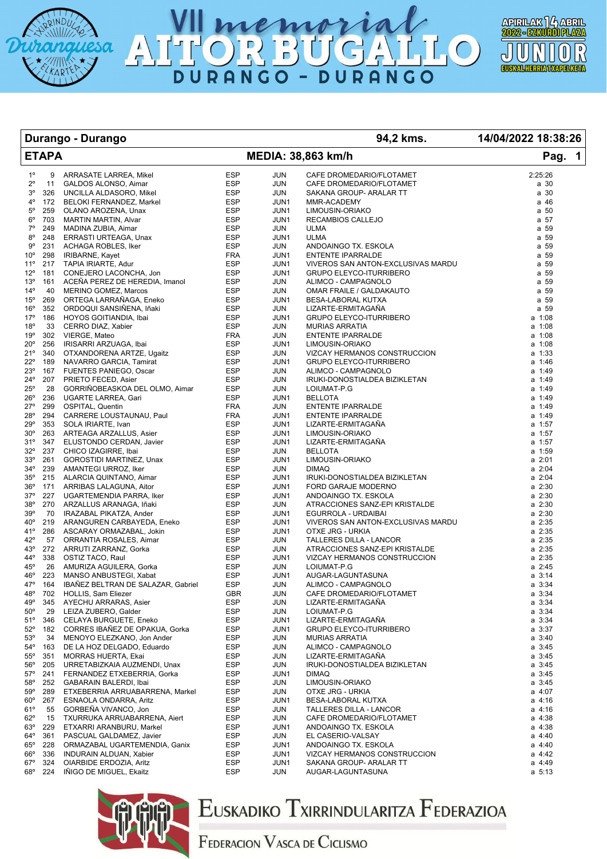





**Durango - Durango 94,2 kms. 14/04/2022 18:38:26**

|                     | <b>ETAPA</b> |                                                     |                          |                    | MEDIA: 38,863 km/h                                             | Pag. 1                     |
|---------------------|--------------|-----------------------------------------------------|--------------------------|--------------------|----------------------------------------------------------------|----------------------------|
| $1^{\circ}$         | 9            | ARRASATE LARREA, Mikel                              | <b>ESP</b>               | <b>JUN</b>         | CAFE DROMEDARIO/FLOTAMET                                       | 2:25:26                    |
| $2^{\circ}$         | 11           | GALDOS ALONSO, Aimar                                | <b>ESP</b>               | <b>JUN</b>         | CAFE DROMEDARIO/FLOTAMET                                       | a 30                       |
| $3^{\circ}$         | 326          | UNCILLA ALDASORO, Mikel                             | <b>ESP</b>               | JUN                | SAKANA GROUP- ARALAR TT                                        | a 30                       |
| $4^{\circ}$         | 172          | BELOKI FERNANDEZ, Markel                            | <b>ESP</b>               | JUN1               | MMR-ACADEMY                                                    | a 46                       |
| $5^{\circ}$         | 259          | OLANO AROZENA, Unax                                 | <b>ESP</b>               | JUN1               | LIMOUSIN-ORIAKO                                                | a 50                       |
| $6^{\circ}$         | 703          | <b>MARTIN MARTIN, Alvar</b>                         | <b>ESP</b>               | JUN1               | RECAMBIOS CALLEJO                                              | a 57                       |
| $7^\circ$           | 249          | MADINA ZUBIA, Aimar                                 | <b>ESP</b>               | <b>JUN</b>         | ULMA                                                           | a 59                       |
| $8^{\circ}$         | 248          | ERRASTI URTEAGA, Unax                               | <b>ESP</b>               | JUN1               | <b>ULMA</b>                                                    | a 59                       |
| $9^{\circ}$         | 231          | ACHAGA ROBLES, Iker                                 | <b>ESP</b>               | <b>JUN</b>         | ANDOAINGO TX. ESKOLA                                           | a 59                       |
| $10^{\circ}$        | 298          | IRIBARNE, Kayet                                     | <b>FRA</b>               | JUN1               | <b>ENTENTE IPARRALDE</b>                                       | a 59                       |
| $11^{\circ}$        | 217          | TAPIA IRIARTE, Adur                                 | <b>ESP</b>               | JUN1               | VIVEROS SAN ANTON-EXCLUSIVAS MARDU                             | a 59                       |
| $12^{\circ}$        | 181          | CONEJERO LACONCHA, Jon                              | <b>ESP</b>               | JUN1               | <b>GRUPO ELEYCO-ITURRIBERO</b>                                 | a 59                       |
| 13°                 | 161          | ACEÑA PEREZ DE HEREDIA, Imanol                      | <b>ESP</b>               | <b>JUN</b>         | ALIMCO - CAMPAGNOLO                                            | a 59                       |
| $14^{\circ}$        | 40<br>269    | MERINO GOMEZ, Marcos                                | <b>ESP</b><br><b>ESP</b> | <b>JUN</b>         | OMAR FRAILE / GALDAKAUTO                                       | a 59<br>a 59               |
| $15^{\circ}$<br>16° | 352          | ORTEGA LARRAÑAGA, Eneko<br>ORDOQUI SANSIÑENA, Iñaki | <b>ESP</b>               | JUN1<br><b>JUN</b> | BESA-LABORAL KUTXA<br>LIZARTE-ERMITAGAÑA                       | a 59                       |
| $17^{\circ}$        | 186          | HOYOS GOITIANDIA, Ibai                              | ESP                      | JUN1               | <b>GRUPO ELEYCO-ITURRIBERO</b>                                 | a 1:08                     |
| $18^{\circ}$        | 33           | CERRO DIAZ, Xabier                                  | <b>ESP</b>               | <b>JUN</b>         | <b>MURIAS ARRATIA</b>                                          | a 1:08                     |
| 19°                 | 302          | VIERGE, Mateo                                       | <b>FRA</b>               | <b>JUN</b>         | <b>ENTENTE IPARRALDE</b>                                       | a 1:08                     |
| 20°                 | 256          | IRISARRI ARZUAGA, Ibai                              | <b>ESP</b>               | JUN1               | LIMOUSIN-ORIAKO                                                | a 1:08                     |
| $21^{\circ}$        | 340          | OTXANDORENA ARTZE, Ugaitz                           | <b>ESP</b>               | <b>JUN</b>         | VIZCAY HERMANOS CONSTRUCCION                                   | a 1:33                     |
| 22°                 | 189          | NAVARRO GARCIA, Tamirat                             | <b>ESP</b>               | JUN1               | <b>GRUPO ELEYCO-ITURRIBERO</b>                                 | $a$ 1:46                   |
| 23°                 | 167          | FUENTES PANIEGO, Oscar                              | <b>ESP</b>               | JUN                | ALIMCO - CAMPAGNOLO                                            | a 1:49                     |
| 24°                 | 207          | PRIETO FECED, Asier                                 | <b>ESP</b>               | JUN                | IRUKI-DONOSTIALDEA BIZIKLETAN                                  | a 1:49                     |
| 25°                 | 28           | GORRIÑOBEASKOA DEL OLMO, Aimar                      | <b>ESP</b>               | JUN                | LOIUMAT-P.G                                                    | a 1:49                     |
| $26^{\circ}$        | 236          | UGARTE LARREA, Gari                                 | <b>ESP</b>               | JUN1               | <b>BELLOTA</b>                                                 | a 1:49                     |
| $27^{\circ}$        | 299          | OSPITAL, Quentin                                    | <b>FRA</b>               | JUN                | ENTENTE IPARRALDE                                              | a 1:49                     |
| 28°                 | 294          | CARRERE LOUSTAUNAU, Paul                            | <b>FRA</b>               | JUN1               | ENTENTE IPARRALDE                                              | a 1:49                     |
| 29°                 | 353          | SOLA IRIARTE, Ivan                                  | <b>ESP</b>               | JUN1               | LIZARTE-ERMITAGAÑA                                             | a 1:57                     |
| $30^{\circ}$        | 263          | ARTEAGA ARZALLUS, Asier                             | <b>ESP</b>               | JUN1               | LIMOUSIN-ORIAKO                                                | a 1:57                     |
| 31°                 | 347          | ELUSTONDO CERDAN, Javier                            | <b>ESP</b>               | JUN1               | LIZARTE-ERMITAGAÑA                                             | a 1:57                     |
| $32^{\circ}$        | 237          | CHICO IZAGIRRE, Ibai                                | <b>ESP</b>               | JUN                | <b>BELLOTA</b>                                                 | a 1:59                     |
| 33°                 | 261          | <b>GOROSTIDI MARTINEZ, Unax</b>                     | <b>ESP</b>               | JUN1               | LIMOUSIN-ORIAKO                                                | $a \; 2:01$                |
| 34°                 | 239          | AMANTEGI URROZ, Iker                                | <b>ESP</b>               | <b>JUN</b>         | <b>DIMAQ</b>                                                   | $a \; 2:04$                |
| $35^\circ$          | 215          | ALARCIA QUINTANO, Aimar                             | <b>ESP</b>               | JUN1               | IRUKI-DONOSTIALDEA BIZIKLETAN                                  | $a \; 2:04$                |
| $36^{\circ}$        | 171          | ARRIBAS LALAGUNA, Aitor                             | <b>ESP</b>               | JUN1               | FORD GARAJE MODERNO                                            | $a \; 2:30$                |
| $37^\circ$          | 227          | UGARTEMENDIA PARRA, Iker                            | <b>ESP</b>               | JUN1               | ANDOAINGO TX. ESKOLA                                           | $a \; 2:30$                |
| $38^{\circ}$        | 270          | ARZALLUS ARANAGA, Iñaki                             | <b>ESP</b>               | <b>JUN</b>         | ATRACCIONES SANZ-EPI KRISTALDE                                 | $a \; 2:30$                |
| 39°                 | 70           | IRAZABAL PIKATZA, Ander                             | <b>ESP</b>               | JUN1               | EGURROLA - URDAIBAI                                            | $a \; 2:30$                |
| $40^{\circ}$        | 219          | ARANGUREN CARBAYEDA, Eneko                          | <b>ESP</b>               | JUN1               | VIVEROS SAN ANTON-EXCLUSIVAS MARDU                             | $a \; 2:35$                |
| 41°                 | 286          | ASCARAY ORMAZABAL, Jokin                            | <b>ESP</b>               | JUN1               | OTXE JRG - URKIA                                               | $a \; 2:35$                |
| $42^{\circ}$        | 57           | ORRANTIA ROSALES, Aimar                             | <b>ESP</b>               | <b>JUN</b>         | TALLERES DILLA - LANCOR                                        | $a \; 2:35$                |
| 43°<br>44°          | 272<br>338   | ARRUTI ZARRANZ, Gorka<br>OSTIZ TACO, Raul           | <b>ESP</b><br><b>ESP</b> | JUN<br>JUN1        | ATRACCIONES SANZ-EPI KRISTALDE<br>VIZCAY HERMANOS CONSTRUCCION | $a \; 2:35$<br>$a \; 2:35$ |
| $45^{\circ}$        | 26           | AMURIZA AGUILERA, Gorka                             | <b>ESP</b>               | <b>JUN</b>         | LOIUMAT-P.G                                                    | $a \; 2:45$                |
| 46°                 | 223          | MANSO ANBUSTEGI, Xabat                              | ESP                      | JUN1               | AUGAR-LAGUNTASUNA                                              | $a \, 3:14$                |
| $47^\circ$          | 164          | IBAÑEZ BELTRAN DE SALAZAR, Gabriel                  | <b>ESP</b>               | JUN                | ALIMCO - CAMPAGNOLO                                            | $a \, 3:34$                |
| 48°                 | 702          | <b>HOLLIS, Sam Eliezer</b>                          | <b>GBR</b>               | <b>JUN</b>         | CAFE DROMEDARIO/FLOTAMET                                       | a 3:34                     |
| 49°                 | 345          | AYECHU ARRARAS, Asier                               | <b>ESP</b>               | JUN                | LIZARTE-ERMITAGAÑA                                             | $a \, 3:34$                |
| $50^\circ$          | 29           | LEIZA ZUBERO, Galder                                | ESP                      | JUN                | LOIUMAT-P.G                                                    | $a \, 3:34$                |
| $51^{\circ}$        | 346          | CELAYA BURGUETE, Eneko                              | <b>ESP</b>               | JUN1               | LIZARTE-ERMITAGAÑA                                             | $a \, 3:34$                |
| $52^{\circ}$        | 182          | CORRES IBAÑEZ DE OPAKUA, Gorka                      | ESP                      | JUN1               | <b>GRUPO ELEYCO-ITURRIBERO</b>                                 | a 3:37                     |
| 53°                 | 34           | MENOYO ELEZKANO, Jon Ander                          | <b>ESP</b>               | JUN                | <b>MURIAS ARRATIA</b>                                          | a 3:40                     |
| $54^\circ$          | 163          | DE LA HOZ DELGADO, Eduardo                          | <b>ESP</b>               | <b>JUN</b>         | ALIMCO - CAMPAGNOLO                                            | $a \, 3:45$                |
| $55^{\circ}$        | 351          | <b>MORRAS HUERTA, Ekai</b>                          | <b>ESP</b>               | <b>JUN</b>         | LIZARTE-ERMITAGAÑA                                             | $a \, 3:45$                |
| $56^{\circ}$        | 205          | URRETABIZKAIA AUZMENDI, Unax                        | ESP                      | JUN                | IRUKI-DONOSTIALDEA BIZIKLETAN                                  | $a \, 3:45$                |
| $57^\circ$          | 241          | FERNANDEZ ETXEBERRIA, Gorka                         | ESP                      | JUN1               | <b>DIMAQ</b>                                                   | $a \, 3:45$                |
| $58^\circ$          | 252          | GABARAIN BALERDI, Ibai                              | <b>ESP</b>               | JUN                | LIMOUSIN-ORIAKO                                                | $a \, 3:45$                |
| 59°                 | 289          | ETXEBERRIA ARRUABARRENA, Markel                     | <b>ESP</b>               | JUN                | OTXE JRG - URKIA                                               | $a \, 4:07$                |
| $60^{\circ}$        | 267          | ESNAOLA ONDARRA, Aritz                              | ESP                      | JUN1               | BESA-LABORAL KUTXA                                             | a 4:16                     |
| 61°                 | 55           | GORBEÑA VIVANCO, Jon                                | ESP                      | <b>JUN</b>         | TALLERES DILLA - LANCOR                                        | a 4:16                     |
| $62^{\circ}$        | 15           | TXURRUKA ARRUABARRENA, Aiert                        | ESP                      | JUN                | CAFE DROMEDARIO/FLOTAMET                                       | a 4:38                     |
| 63°                 | 229          | ETXARRI ARANBURU, Markel                            | ESP                      | JUN1               | ANDOAINGO TX. ESKOLA                                           | a 4:38                     |
| $64^{\circ}$        | 361          | PASCUAL GALDAMEZ, Javier                            | <b>ESP</b>               | JUN                | EL CASERIO-VALSAY                                              | a 4:40                     |
| $65^{\circ}$        | 228          | ORMAZABAL UGARTEMENDIA, Ganix                       | <b>ESP</b>               | JUN1               | ANDOAINGO TX. ESKOLA                                           | $a \, 4:40$                |
| $66^{\circ}$        | 336          | <b>INDURAIN ALDUAN, Xabier</b>                      | ESP                      | JUN1               | VIZCAY HERMANOS CONSTRUCCION                                   | a 4:42                     |
| $67^{\circ}$        | 324          | OIARBIDE ERDOZIA, Aritz                             | ESP                      | JUN1               | SAKANA GROUP- ARALAR TT                                        | a 4:49                     |
| 68°                 | 224          | IÑIGO DE MIGUEL, Ekaitz                             | ESP                      | JUN                | AUGAR-LAGUNTASUNA                                              | a 5:13                     |



## Euskadiko Txirrindularitza Federazioa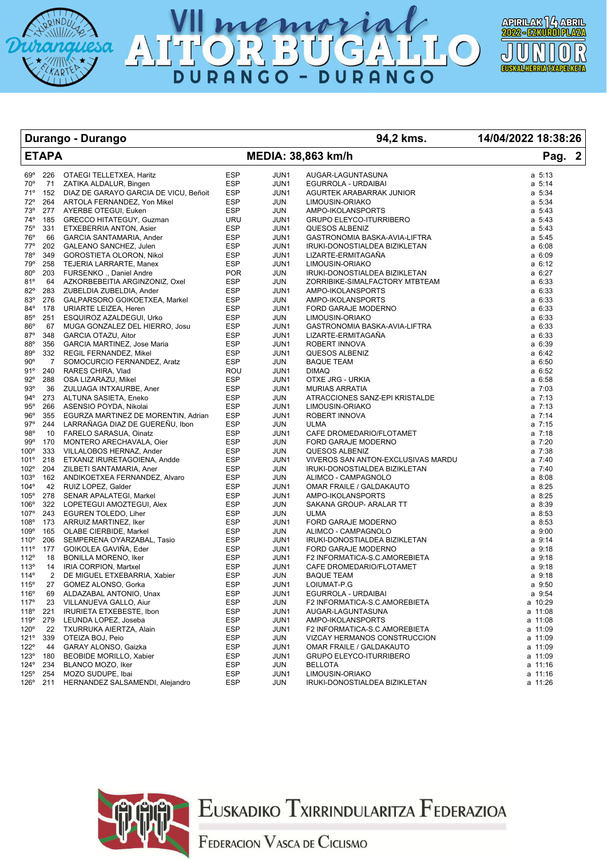





### **Durango - Durango 94,2 kms. 14/04/2022 18:38:26**

|                  | <b>ETAPA</b>   |                                           |            |             | MEDIA: 38,863 km/h                                         | Pag. 2             |
|------------------|----------------|-------------------------------------------|------------|-------------|------------------------------------------------------------|--------------------|
| $69^\circ$       | 226            | OTAEGI TELLETXEA, Haritz                  | <b>ESP</b> | JUN1        | AUGAR-LAGUNTASUNA                                          | $a \t 5:13$        |
| $70^{\circ}$     | 71             | ZATIKA ALDALUR, Bingen                    | <b>ESP</b> | JUN1        | EGURROLA - URDAIBAI                                        | $a \t 5:14$        |
| 71°              |                | 152 DIAZ DE GARAYO GARCIA DE VICU, Beñoit | <b>ESP</b> | JUN1        | AGURTEK ARABARRAK JUNIOR                                   | $a \t 5:34$        |
| $72^{\circ}$     |                | 264 ARTOLA FERNANDEZ, Yon Mikel           | <b>ESP</b> | JUN         | LIMOUSIN-ORIAKO                                            | a 5:34             |
| 73°              | 277            | AYERBE OTEGUI, Euken                      | <b>ESP</b> | JUN         | AMPO-IKOLANSPORTS                                          | $a \t 5:43$        |
| 74°              | 185            | GRECCO HITATEGUY, Guzman                  | <b>URU</b> | JUN1        | GRUPO ELEYCO-ITURRIBERO                                    | $a \t 5:43$        |
| 75°              | 331            | ETXEBERRIA ANTON, Asier                   | <b>ESP</b> | JUN1        | QUESOS ALBENIZ                                             | $a \t 5:43$        |
| 76°              | 66             | GARCIA SANTAMARIA, Ander                  | <b>ESP</b> | JUN1        | GASTRONOMIA BASKA-AVIA-LIFTRA                              | a 5:45             |
| $77^\circ$       | 202            | GALEANO SANCHEZ, Julen                    | <b>ESP</b> | JUN1        | IRUKI-DONOSTIALDEA BIZIKLETAN                              | $a \, 6:08$        |
| 78°              | 349            | GOROSTIETA OLORON, Nikol                  | <b>ESP</b> | JUN1        | LIZARTE-ERMITAGAÑA                                         | a 6:09             |
| 79°              | 258            | TEJERIA LARRARTE, Manex                   | ESP        | JUN1        | LIMOUSIN-ORIAKO                                            | a 6:12             |
| $80^\circ$       | 203            | FURSENKO., Daniel Andre                   | <b>POR</b> | JUN         | IRUKI-DONOSTIALDEA BIZIKLETAN                              | a 6:27             |
| 81°              | 64             | AZKORBEBEITIA ARGINZONIZ, Oxel            | ESP        | JUN         | ZORRIBIKE-SIMALFACTORY MTBTEAM                             | a 6:33             |
| 82°              | 283            | ZUBELDIA ZUBELDIA, Ander                  | <b>ESP</b> | JUN1        | AMPO-IKOLANSPORTS                                          | a 6:33             |
| 83°              | 276            | GALPARSORO GOIKOETXEA, Markel             | <b>ESP</b> | JUN         | AMPO-IKOLANSPORTS                                          | a 6:33             |
| $84^{\circ}$     | 178            | URIARTE LEIZEA, Heren                     | <b>ESP</b> | JUN1        | FORD GARAJE MODERNO                                        | a 6:33             |
| $85^\circ$       | 251            | ESQUIROZ AZALDEGUI, Urko                  | <b>ESP</b> | JUN         | LIMOUSIN-ORIAKO                                            | a 6:33             |
| $86^{\circ}$     | 67             | MUGA GONZALEZ DEL HIERRO, Josu            | <b>ESP</b> | JUN1        | GASTRONOMIA BASKA-AVIA-LIFTRA                              | a 6:33             |
| $87^\circ$       | 348            | GARCIA OTAZU, Aitor                       | <b>ESP</b> | JUN1        | LIZARTE-ERMITAGAÑA                                         | a 6:33             |
| $88^{\circ}$     | 356            | GARCIA MARTINEZ, Jose Maria               | <b>ESP</b> | JUN1        | ROBERT INNOVA                                              | a 6:39             |
| $89^\circ$       | 332            | REGIL FERNANDEZ, Mikel                    | <b>ESP</b> | JUN1        | <b>QUESOS ALBENIZ</b>                                      | a 6:42             |
| $90^{\circ}$     | $\overline{7}$ | SOMOCURCIO FERNANDEZ, Aratz               | ESP        | JUN         | <b>BAQUE TEAM</b>                                          | $a$ 6:50           |
| 91°              | 240            | RARES CHIRA, Vlad                         | ROU        | JUN1        | <b>DIMAQ</b>                                               | a 6:52             |
| $92^\circ$       | 288            | OSA LIZARAZU, Mikel                       | <b>ESP</b> | JUN1        | OTXE JRG - URKIA                                           | a 6:58             |
| 93°              | 36             | ZULUAGA INTXAURBE, Aner                   | <b>ESP</b> | JUN1        | <b>MURIAS ARRATIA</b>                                      | $a \t 7:03$        |
| $94^{\circ}$     | 273            | ALTUNA SASIETA, Eneko                     | <b>ESP</b> | JUN         | ATRACCIONES SANZ-EPI KRISTALDE                             | $a \ 7:13$         |
| 95°              | 266            | ASENSIO POYDA, Nikolai                    | <b>ESP</b> | JUN1        | LIMOUSIN-ORIAKO                                            | $a \ 7:13$         |
| 96°              | 355            | EGURZA MARTINEZ DE MORENTIN, Adrian       | <b>ESP</b> | JUN1        | ROBERT INNOVA                                              | $a \t7:14$         |
| 97°              | 244            | LARRAÑAGA DIAZ DE GUEREÑU, Ibon           | <b>ESP</b> | JUN         | ULMA                                                       | $a \t 7:15$        |
| 98°              | 10             | FARELO SARASUA, Oinatz                    | <b>ESP</b> | JUN1        | CAFE DROMEDARIO/FLOTAMET                                   | $a \ 7:18$         |
| 99°              | 170            | MONTERO ARECHAVALA, Oier                  | <b>ESP</b> | JUN         | FORD GARAJE MODERNO                                        | a 7:20             |
| $100^\circ$      | 333            | VILLALOBOS HERNAZ, Ander                  | <b>ESP</b> | JUN         | QUESOS ALBENIZ                                             | a 7:38             |
| 101°             | 218            | ETXANIZ IRURETAGOIENA, Andde              | <b>ESP</b> | JUN1        | VIVEROS SAN ANTON-EXCLUSIVAS MARDU                         | a 7:40             |
| 102°             | 204            | ZILBETI SANTAMARIA, Aner                  | <b>ESP</b> | JUN         | IRUKI-DONOSTIALDEA BIZIKLETAN                              | a 7:40             |
| 103°             | 162            | ANDIKOETXEA FERNANDEZ, Alvaro             | ESP        | JUN         | ALIMCO - CAMPAGNOLO                                        | a 8:08             |
| 104°             | 42             | RUIZ LOPEZ, Galder                        | <b>ESP</b> | JUN1        | OMAR FRAILE / GALDAKAUTO                                   | a 8:25             |
| 105°             | 278            | SENAR APALATEGI, Markel                   | <b>ESP</b> | JUN1        | AMPO-IKOLANSPORTS                                          | a 8:25             |
| 106°             | 322            | LOPETEGUI AMOZTEGUI, Alex                 | ESP        | JUN         | SAKANA GROUP- ARALAR TT                                    | a 8:39             |
| 107°             | 243            | EGUREN TOLEDO, Liher                      | <b>ESP</b> | JUN         | ULMA                                                       | a 8:53             |
| 108°             | 173            | ARRUIZ MARTINEZ, Iker                     | <b>ESP</b> | JUN1        | FORD GARAJE MODERNO                                        | a 8:53             |
| 109°             | 165            | OLABE CIERBIDE, Markel                    | <b>ESP</b> | JUN         | ALIMCO - CAMPAGNOLO                                        | a 9:00             |
| $110^{\circ}$    | 206            | SEMPERENA OYARZABAL, Tasio                | ESP        | JUN1        | IRUKI-DONOSTIALDEA BIZIKLETAN                              | a 9:14             |
| 111°             | 177            | GOIKOLEA GAVIÑA, Eder                     | <b>ESP</b> | JUN1        | FORD GARAJE MODERNO                                        | $a$ 9:18           |
| 112°             | 18             | <b>BONILLA MORENO, Iker</b>               | <b>ESP</b> | JUN1        | F2 INFORMATICA-S.C.AMOREBIETA                              | a 9:18             |
| 113°             | 14             | IRIA CORPION, Martxel                     | <b>ESP</b> | JUN1        | CAFE DROMEDARIO/FLOTAMET                                   | a 9:18             |
| 114°             | 2              | DE MIGUEL ETXEBARRIA, Xabier              | ESP        | JUN         | <b>BAQUE TEAM</b>                                          | a 9:18             |
| 115°             | 27             | GOMEZ ALONSO, Gorka                       | <b>ESP</b> | JUN1        | LOIUMAT-P.G                                                | a 9:50             |
| 116°             | 69             | ALDAZABAL ANTONIO, Unax                   | <b>ESP</b> | JUN1        | <b>EGURROLA - URDAIBAI</b>                                 | a 9:54             |
| 117°             | 23             | VILLANUEVA GALLO, Aiur                    | <b>ESP</b> | JUN         | F2 INFORMATICA-S.C.AMOREBIETA                              | a 10:29            |
| 118°             | 221            | IRURIETA ETXEBESTE, Ibon                  | <b>ESP</b> | JUN1        | AUGAR-LAGUNTASUNA                                          | a 11:08            |
| 119 <sup>o</sup> | 279            | LEUNDA LOPEZ, Joseba                      | <b>ESP</b> | JUN1        | AMPO-IKOLANSPORTS                                          | a 11:08            |
| $120^\circ$      | 22             | TXURRUKA AIERTZA, Alain                   | ESP        | JUN1        | F2 INFORMATICA-S.C.AMOREBIETA                              | a 11:09            |
| 121°             | 339            | OTEIZA BOJ, Peio                          | <b>ESP</b> | JUN         | VIZCAY HERMANOS CONSTRUCCION                               | a 11:09            |
| 122°             | 44             | GARAY ALONSO, Gaizka                      | ESP        | JUN1        | OMAR FRAILE / GALDAKAUTO<br><b>GRUPO ELEYCO-ITURRIBERO</b> | a 11:09            |
| 123°<br>124°     | 180            | <b>BEOBIDE MORILLO, Xabier</b>            | ESP<br>ESP | JUN1        |                                                            | a 11:09            |
| 125°             | 234<br>254     | BLANCO MOZO, Iker<br>MOZO SUDUPE, Ibai    | <b>ESP</b> | JUN<br>JUN1 | <b>BELLOTA</b><br>LIMOUSIN-ORIAKO                          | a 11:16<br>a 11:16 |
|                  | 126° 211       | HERNANDEZ SALSAMENDI, Alejandro           | ESP        | JUN         | IRUKI-DONOSTIALDEA BIZIKLETAN                              | a 11:26            |
|                  |                |                                           |            |             |                                                            |                    |



# Euskadiko Txirrindularitza Federazioa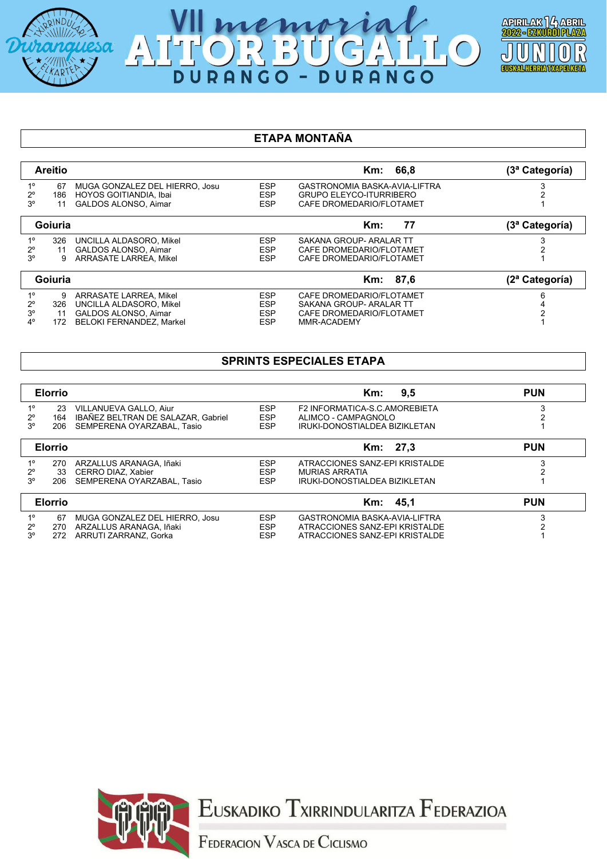





### **ETAPA MONTAÑA**

|                   | <b>Areitio</b> |                                                          |                          | Km: 66,8                                                        | (3ª Categoría) |
|-------------------|----------------|----------------------------------------------------------|--------------------------|-----------------------------------------------------------------|----------------|
| $1^{\circ}$<br>2° | 67<br>186      | MUGA GONZALEZ DEL HIERRO, Josu<br>HOYOS GOITIANDIA, Ibai | <b>ESP</b><br><b>ESP</b> | GASTRONOMIA BASKA-AVIA-LIFTRA<br><b>GRUPO ELEYCO-ITURRIBERO</b> |                |
| 3 <sup>o</sup>    | 11             | <b>GALDOS ALONSO, Aimar</b>                              | <b>ESP</b>               | CAFE DROMEDARIO/FLOTAMET                                        |                |
|                   | Goiuria        |                                                          |                          | 77<br>Km:                                                       | (3ª Categoría) |
| $1^{\circ}$       | 326            | UNCILLA ALDASORO, Mikel                                  | <b>ESP</b>               | SAKANA GROUP- ARALAR TT                                         |                |
| $2^{\circ}$       | 11             | <b>GALDOS ALONSO, Aimar</b>                              | <b>ESP</b>               | CAFE DROMEDARIO/FLOTAMET                                        |                |
| 3°                |                | <b>ARRASATE LARREA, Mikel</b>                            | <b>ESP</b>               | CAFE DROMEDARIO/FLOTAMET                                        |                |
|                   | Goiuria        |                                                          |                          | Km: 87.6                                                        | (2ª Categoría) |
| $1^{\circ}$       | 9              | ARRASATE LARREA, Mikel                                   | <b>ESP</b>               | CAFE DROMEDARIO/FLOTAMET                                        | 6              |
| $2^{\circ}$       | 326            | UNCILLA ALDASORO, Mikel                                  | <b>ESP</b>               | SAKANA GROUP- ARALAR TT                                         |                |
| $3^{\circ}$       | 11             | <b>GALDOS ALONSO, Aimar</b>                              | <b>ESP</b>               | CAFE DROMEDARIO/FLOTAMET                                        |                |
| 4°                | 172            | <b>BELOKI FERNANDEZ, Markel</b>                          | <b>ESP</b>               | MMR-ACADEMY                                                     |                |

### **SPRINTS ESPECIALES ETAPA**

|                | <b>Elorrio</b> |                                    |            | 9.5<br>Km:                     | <b>PUN</b> |
|----------------|----------------|------------------------------------|------------|--------------------------------|------------|
| $1^{\circ}$    | 23             | VILLANUEVA GALLO, Aiur             | <b>ESP</b> | F2 INFORMATICA-S.C.AMOREBIETA  |            |
| $2^{\circ}$    | 164            | IBAÑEZ BELTRAN DE SALAZAR, Gabriel | <b>ESP</b> | ALIMCO - CAMPAGNOLO            |            |
| 3 <sup>o</sup> | 206            | SEMPERENA OYARZABAL, Tasio         | <b>ESP</b> | IRUKI-DONOSTIALDEA BIZIKLETAN  |            |
|                | <b>Elorrio</b> |                                    |            | Km: 27.3                       | <b>PUN</b> |
| $1^{\circ}$    | 270            | ARZALLUS ARANAGA. Iñaki            | <b>ESP</b> | ATRACCIONES SANZ-EPI KRISTALDE |            |
| $2^{\circ}$    | 33             | CERRO DIAZ, Xabier                 | <b>ESP</b> | <b>MURIAS ARRATIA</b>          |            |
| 3 <sup>o</sup> | 206            | SEMPERENA OYARZABAL, Tasio         | <b>ESP</b> | IRUKI-DONOSTIALDEA BIZIKLETAN  |            |
|                | <b>Elorrio</b> |                                    |            | 45.1<br>Km:                    | <b>PUN</b> |
| $1^{\circ}$    | 67             | MUGA GONZALEZ DEL HIERRO, Josu     | <b>ESP</b> | GASTRONOMIA BASKA-AVIA-LIFTRA  |            |
| $2^{\circ}$    | 270            | ARZALLUS ARANAGA, Iñaki            | <b>ESP</b> | ATRACCIONES SANZ-EPI KRISTALDE |            |
| $3^\circ$      | 272            | ARRUTI ZARRANZ, Gorka              | <b>ESP</b> | ATRACCIONES SANZ-EPI KRISTALDE |            |



EUSKADIKO TXIRRINDULARITZA FEDERAZIOA